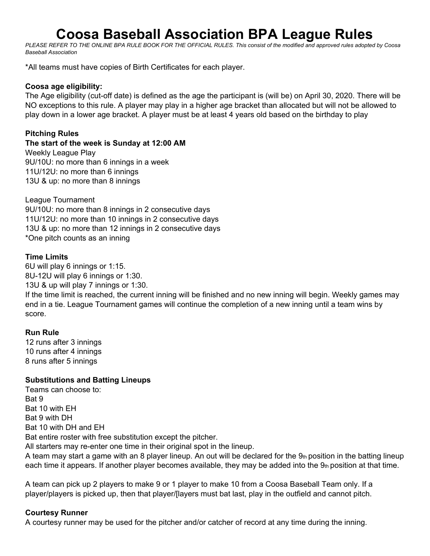# **Coosa Baseball Association BPA League Rules**

PLEASE REFER TO THE ONLINE BPA RULE BOOK FOR THE OFFICIAL RULES. This consist of the modified and approved rules adopted by Coosa *Baseball Association*

\*All teams must have copies of Birth Certificates for each player.

#### **Coosa age eligibility:**

The Age eligibility (cut-off date) is defined as the age the participant is (will be) on April 30, 2020. There will be NO exceptions to this rule. A player may play in a higher age bracket than allocated but will not be allowed to play down in a lower age bracket. A player must be at least 4 years old based on the birthday to play

#### **Pitching Rules**

**The start of the week is Sunday at 12:00 AM** Weekly League Play 9U/10U: no more than 6 innings in a week 11U/12U: no more than 6 innings 13U & up: no more than 8 innings

League Tournament 9U/10U: no more than 8 innings in 2 consecutive days 11U/12U: no more than 10 innings in 2 consecutive days 13U & up: no more than 12 innings in 2 consecutive days \*One pitch counts as an inning

#### **Time Limits**

6U will play 6 innings or 1:15. 8U-12U will play 6 innings or 1:30. 13U & up will play 7 innings or 1:30.

If the time limit is reached, the current inning will be finished and no new inning will begin. Weekly games may end in a tie. League Tournament games will continue the completion of a new inning until a team wins by score.

## **Run Rule**

12 runs after 3 innings 10 runs after 4 innings 8 runs after 5 innings

## **Substitutions and Batting Lineups**

Teams can choose to: Bat 9 Bat 10 with EH Bat 9 with DH Bat 10 with DH and EH Bat entire roster with free substitution except the pitcher. All starters may re-enter one time in their original spot in the lineup.

A team may start a game with an 8 player lineup. An out will be declared for the 9th position in the batting lineup each time it appears. If another player becomes available, they may be added into the  $9<sub>th</sub>$  position at that time.

A team can pick up 2 players to make 9 or 1 player to make 10 from a Coosa Baseball Team only. If a player/players is picked up, then that player/[layers must bat last, play in the outfield and cannot pitch.

#### **Courtesy Runner**

A courtesy runner may be used for the pitcher and/or catcher of record at any time during the inning.